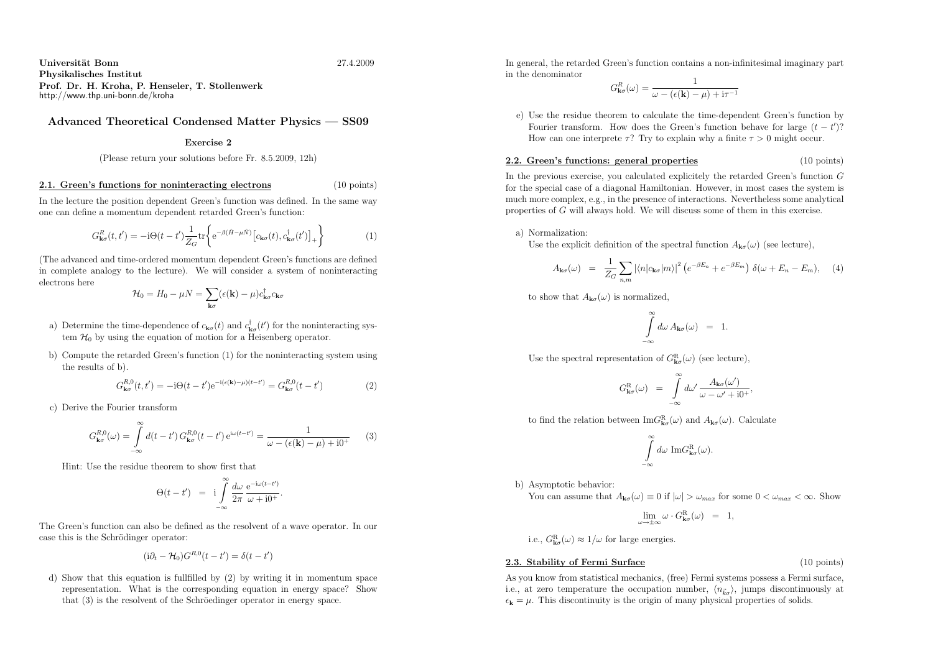Universit¨at Bonnn 27.4.2009 Physikalisches Institut Prof. Dr. H. Kroha, P. Henseler, T. Stollenwerkhttp://www.thp.uni-bonn.de/kroha

# Advanced Theoretical Condensed Matter Physics — SS09

## Exercise <sup>2</sup>

(Please return your solutions before Fr. 8.5.2009, 12h)

### 2.1. Green's functions for noninteracting electrons

In the lecture the position dependent Green's function was defined. In the same wayone can define <sup>a</sup> momentum dependent retarded Green's function:

$$
G_{\mathbf{k}\sigma}^{R}(t,t') = -\mathrm{i}\Theta(t-t')\frac{1}{Z_{G}}\mathrm{tr}\left\{\mathrm{e}^{-\beta(\hat{H}-\mu\hat{N})}\left[c_{\mathbf{k}\sigma}(t),c_{\mathbf{k}\sigma}^{\dagger}(t')\right]_{+}\right\} \tag{1}
$$

(The advanced and time-ordered momentum dependent Green's functions are defined in complete analogy to the lecture). We will consider <sup>a</sup> system of noninteractingelectrons here

$$
\mathcal{H}_0 = H_0 - \mu N = \sum_{\mathbf{k}\sigma} (\epsilon(\mathbf{k}) - \mu) c_{\mathbf{k}\sigma}^\dagger c_{\mathbf{k}\sigma}
$$

- a) Determine the time-dependence of  $c_{\mathbf{k}\sigma}(t)$  and  $c_{\mathbf{k}\sigma}^{\dagger}(t')$  for the noninteracting system  $\mathcal{H}_0$  by using the equation of motion for a Heisenberg operator.
- b) Compute the retarded Green's function (1) for the noninteracting system using the results of b).

$$
G_{\mathbf{k}\sigma}^{R,0}(t,t') = -i\Theta(t-t')e^{-i(\epsilon(\mathbf{k})-\mu)(t-t')} = G_{\mathbf{k}\sigma}^{R,0}(t-t')
$$
(2)

c) Derive the Fourier transform

$$
G_{\mathbf{k}\sigma}^{R,0}(\omega) = \int_{-\infty}^{\infty} d(t-t') G_{\mathbf{k}\sigma}^{R,0}(t-t') e^{i\omega(t-t')} = \frac{1}{\omega - (\epsilon(\mathbf{k}) - \mu) + i0^+}
$$
(3)

Hint: Use the residue theorem to show first that

$$
\Theta(t-t') = i \int_{-\infty}^{\infty} \frac{d\omega}{2\pi} \frac{e^{-i\omega(t-t')}}{\omega + i0^+}.
$$

The Green's function can also be defined as the resolvent of <sup>a</sup> wave operator. In ourcase this is the Schrödinger operator:

$$
(\mathrm{i}\partial_t - \mathcal{H}_0)G^{R,0}(t - t') = \delta(t - t')
$$

d) Show that this equation is fullfilled by (2) by writing it in momentum space representation. What is the corresponding equation in energy space? Showthat (3) is the resolvent of the Schröedinger operator in energy space.

In general, the retarded Green's function contains <sup>a</sup> non-infinitesimal imaginary partin the denominator

$$
G_{\mathbf{k}\sigma}^{R}(\omega) = \frac{1}{\omega - (\epsilon(\mathbf{k}) - \mu) + i\tau^{-1}}
$$

e) Use the residue theorem to calculate the time-dependent Green's function byFourier transform. How does the Green's function behave for large  $(t - t')$ ? How can one interprete  $\tau$ ? Try to explain why a finite  $\tau > 0$  might occur.

#### 2.2. Green's functions: genera<sup>l</sup> properties(10 points)

In the previous exercise, you calculated explicitely the retarded Green's function <sup>G</sup> for the special case of <sup>a</sup> diagonal Hamiltonian. However, in most cases the system is much more complex, e.g., in the presence of interactions. Nevertheless some analytical properties of G will always hold. We will discuss some of them in this exercise.

a) Normalization:

Use the explicit definition of the spectral function  $A_{\mathbf{k}\sigma}(\omega)$  (see lecture),

$$
A_{\mathbf{k}\sigma}(\omega) = \frac{1}{Z_G} \sum_{n,m} |\langle n|c_{\mathbf{k}\sigma}|m\rangle|^2 \left( e^{-\beta E_n} + e^{-\beta E_m} \right) \delta(\omega + E_n - E_m), \quad (4)
$$

to show that  $A_{\mathbf{k}\sigma}(\omega)$  is normalized,

$$
\int_{-\infty}^{\infty} d\omega A_{\mathbf{k}\sigma}(\omega) = 1.
$$

Use the spectral representation of  $G_{\mathbf{k}\sigma}^{\rm R}(\omega)$  (see lecture),

$$
G^{\rm R}_{\mathbf{k}\sigma}(\omega) \;\; = \;\; \int\limits_{-\infty}^{\infty} d\omega' \, \frac{A_{\mathbf{k}\sigma}(\omega')}{\omega - \omega' + \mathrm{i} 0^+},
$$

to find the relation between  $\text{Im}G_{\mathbf{k}\sigma}^{\text{R}}(\omega)$  and  $A_{\mathbf{k}\sigma}(\omega)$ . Calculate

$$
\int_{-\infty}^{\infty} d\omega \, \mathrm{Im} G_{\mathbf{k}\sigma}^{\rm R}(\omega).
$$

b) Asymptotic behavior:

You can assume that  $A_{\mathbf{k}\sigma}(\omega) \equiv 0$  if  $|\omega| > \omega_{max}$  for some  $0 < \omega_{max} < \infty$ . Show

$$
\lim_{\omega \to \pm \infty} \omega \cdot G_{\mathbf{k}\sigma}^{\mathbf{R}}(\omega) = 1,
$$

i.e.,  $G_{\mathbf{k}\sigma}^{\rm R}(\omega) \approx 1/\omega$  for large energies.

## 2.3. Stability of Fermi Surface

(10 points)

As you know from statistical mechanics, (free) Fermi systems possess <sup>a</sup> Fermi surface, i.e., at zero temperature the occupation number,  $\langle n_{\kappa}\rangle$ , jumps discontinuously at  $\epsilon_{\mathbf{k}} = \mu$ . This discontinuity is the origin of many physical properties of solids.

(10 points)